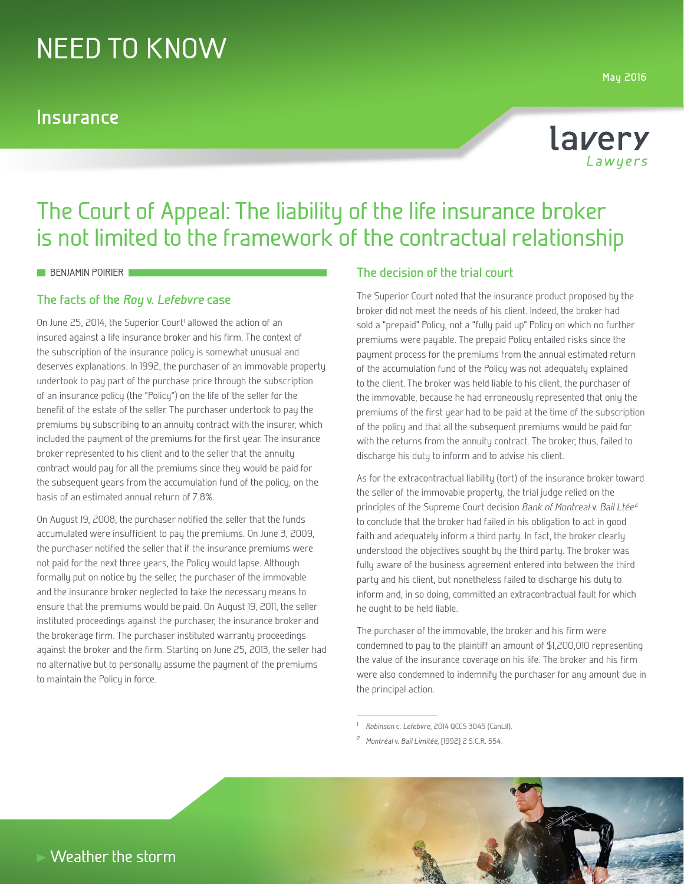# NEED TO KNOW

### **Insurance**

**May 2016**



## The Court of Appeal: The liability of the life insurance broker is not limited to the framework of the contractual relationship

#### **BENJAMIN POIRIER**

#### **The facts of the** *Roy* **v.** *Lefebvre* **case**

On June 25, 2014, the Superior Court<sup>1</sup> allowed the action of an insured against a life insurance broker and his firm. The context of the subscription of the insurance policy is somewhat unusual and deserves explanations. In 1992, the purchaser of an immovable property undertook to pay part of the purchase price through the subscription of an insurance policy (the "Policy") on the life of the seller for the benefit of the estate of the seller. The purchaser undertook to pay the premiums by subscribing to an annuity contract with the insurer, which included the payment of the premiums for the first year. The insurance broker represented to his client and to the seller that the annuity contract would pay for all the premiums since they would be paid for the subsequent years from the accumulation fund of the policy, on the basis of an estimated annual return of 7.8%.

On August 19, 2008, the purchaser notified the seller that the funds accumulated were insufficient to pay the premiums. On June 3, 2009, the purchaser notified the seller that if the insurance premiums were not paid for the next three years, the Policy would lapse. Although formally put on notice by the seller, the purchaser of the immovable and the insurance broker neglected to take the necessary means to ensure that the premiums would be paid. On August 19, 2011, the seller instituted proceedings against the purchaser, the insurance broker and the brokerage firm. The purchaser instituted warranty proceedings against the broker and the firm. Starting on June 25, 2013, the seller had no alternative but to personally assume the payment of the premiums to maintain the Policy in force.

#### **The decision of the trial court**

The Superior Court noted that the insurance product proposed by the broker did not meet the needs of his client. Indeed, the broker had sold a "prepaid" Policy, not a "fully paid up" Policy on which no further premiums were payable. The prepaid Policy entailed risks since the payment process for the premiums from the annual estimated return of the accumulation fund of the Policy was not adequately explained to the client. The broker was held liable to his client, the purchaser of the immovable, because he had erroneously represented that only the premiums of the first year had to be paid at the time of the subscription of the policy and that all the subsequent premiums would be paid for with the returns from the annuity contract. The broker, thus, failed to discharge his duty to inform and to advise his client.

As for the extracontractual liability (tort) of the insurance broker toward the seller of the immovable property, the trial judge relied on the principles of the Supreme Court decision *Bank of Montreal* v. *Bail Ltée*<sup>2</sup> to conclude that the broker had failed in his obligation to act in good faith and adequately inform a third party. In fact, the broker clearly understood the objectives sought by the third party. The broker was fully aware of the business agreement entered into between the third party and his client, but nonetheless failed to discharge his duty to inform and, in so doing, committed an extracontractual fault for which he ought to be held liable.

The purchaser of the immovable, the broker and his firm were condemned to pay to the plaintiff an amount of \$1,200,010 representing the value of the insurance coverage on his life. The broker and his firm were also condemned to indemnify the purchaser for any amount due in the principal action.

<sup>2</sup> *Montréal* v. *Bail Limitée,* [1992] 2 S.C.R. 554.



<sup>1</sup>*Robinson* c. *Lefebvre*, 2014 QCCS 3045 (CanLII).